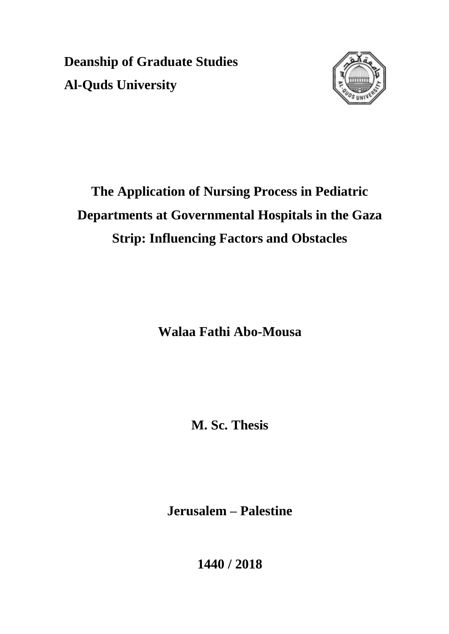**Deanship of Graduate Studies Al-Quds University**



# **The Application of Nursing Process in Pediatric Departments at Governmental Hospitals in the Gaza Strip: Influencing Factors and Obstacles**

**Walaa Fathi Abo-Mousa**

**M. Sc. Thesis**

**Jerusalem – Palestine**

**1440 / 2018**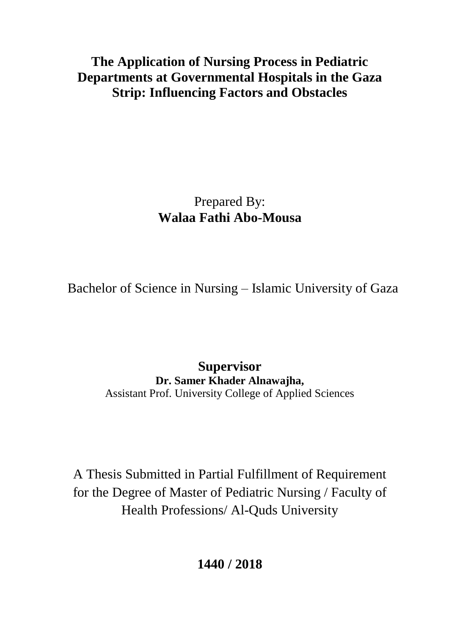**The Application of Nursing Process in Pediatric Departments at Governmental Hospitals in the Gaza Strip: Influencing Factors and Obstacles**

> Prepared By: **Walaa Fathi Abo-Mousa**

Bachelor of Science in Nursing – Islamic University of Gaza

**Supervisor Dr. Samer Khader Alnawajha,**  Assistant Prof. University College of Applied Sciences

A Thesis Submitted in Partial Fulfillment of Requirement for the Degree of Master of Pediatric Nursing / Faculty of Health Professions/ Al-Quds University

**1440 / 2018**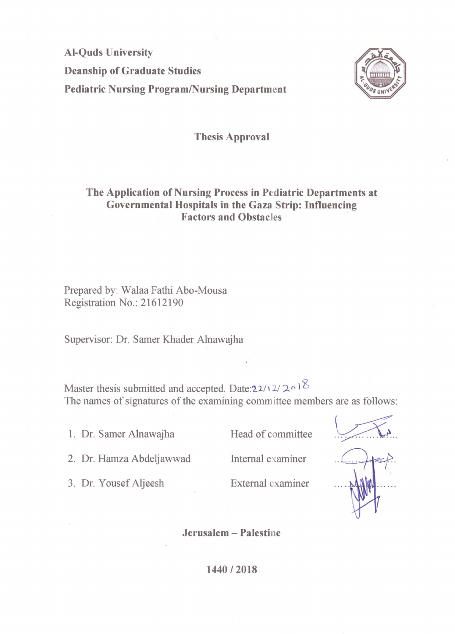**Al-Quds University Deanship of Graduate Studies Pediatric Nursing Program/Nursing Department** 



#### **Thesis Approval**

#### The Application of Nursing Process in Pediatric Departments at Governmental Hospitals in the Gaza Strip: Influencing **Factors and Obstacles**

Prepared by: Walaa Fathi Abo-Mousa Registration No.: 21612190

Supervisor: Dr. Samer Khader Alnawajha

Master thesis submitted and accepted. Date:  $22/12/208$ The names of signatures of the examining committee members are as follows:

1. Dr. Samer Alnawajha

3. Dr. Yousef Aljeesh

Head of committee

2. Dr. Hamza Abdeljawwad

Internal examiner

External examiner

Jerusalem - Palestine

1440 / 2018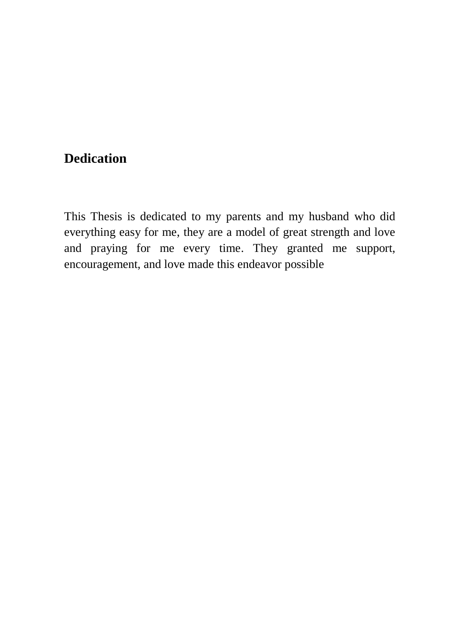# **Dedication**

This Thesis is dedicated to my parents and my husband who did everything easy for me, they are a model of great strength and love and praying for me every time. They granted me support, encouragement, and love made this endeavor possible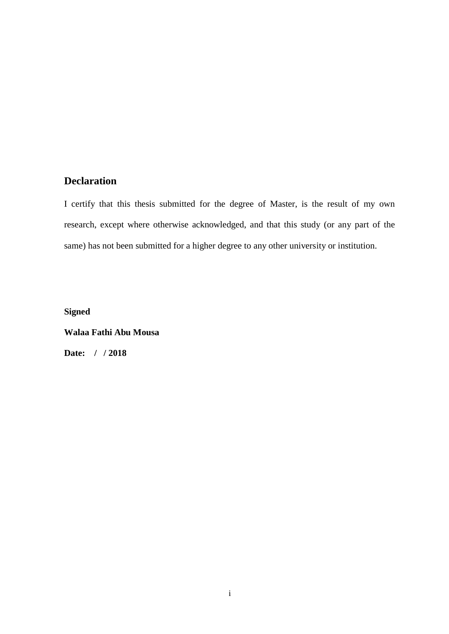#### **Declaration**

I certify that this thesis submitted for the degree of Master, is the result of my own research, except where otherwise acknowledged, and that this study (or any part of the same) has not been submitted for a higher degree to any other university or institution.

**Signed**

**Walaa Fathi Abu Mousa**

**Date: / / 2018**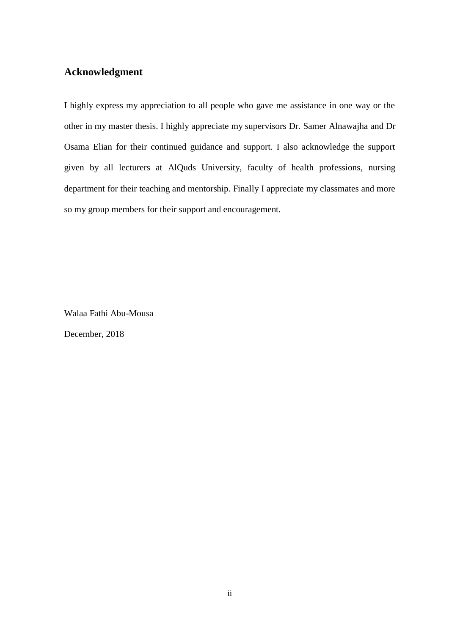#### **Acknowledgment**

I highly express my appreciation to all people who gave me assistance in one way or the other in my master thesis. I highly appreciate my supervisors Dr. Samer Alnawajha and Dr Osama Elian for their continued guidance and support. I also acknowledge the support given by all lecturers at AlQuds University, faculty of health professions, nursing department for their teaching and mentorship. Finally I appreciate my classmates and more so my group members for their support and encouragement.

Walaa Fathi Abu-Mousa

December, 2018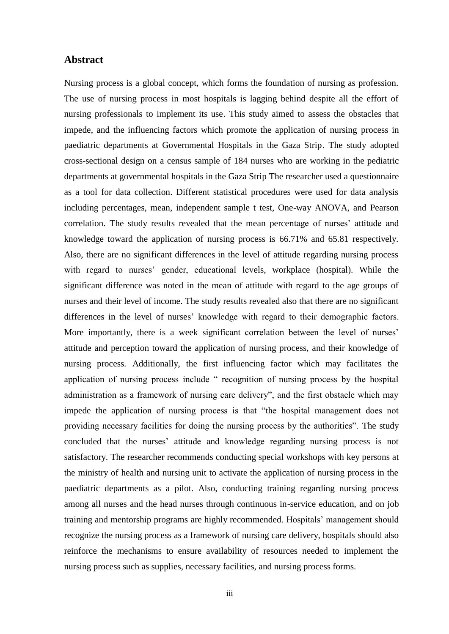#### **Abstract**

Nursing process is a global concept, which forms the foundation of nursing as profession. The use of nursing process in most hospitals is lagging behind despite all the effort of nursing professionals to implement its use. This study aimed to assess the obstacles that impede, and the influencing factors which promote the application of nursing process in paediatric departments at Governmental Hospitals in the Gaza Strip. The study adopted cross-sectional design on a census sample of 184 nurses who are working in the pediatric departments at governmental hospitals in the Gaza Strip The researcher used a questionnaire as a tool for data collection. Different statistical procedures were used for data analysis including percentages, mean, independent sample t test, One-way ANOVA, and Pearson correlation. The study results revealed that the mean percentage of nurses' attitude and knowledge toward the application of nursing process is 66.71% and 65.81 respectively. Also, there are no significant differences in the level of attitude regarding nursing process with regard to nurses' gender, educational levels, workplace (hospital). While the significant difference was noted in the mean of attitude with regard to the age groups of nurses and their level of income. The study results revealed also that there are no significant differences in the level of nurses' knowledge with regard to their demographic factors. More importantly, there is a week significant correlation between the level of nurses' attitude and perception toward the application of nursing process, and their knowledge of nursing process. Additionally, the first influencing factor which may facilitates the application of nursing process include " recognition of nursing process by the hospital administration as a framework of nursing care delivery", and the first obstacle which may impede the application of nursing process is that "the hospital management does not providing necessary facilities for doing the nursing process by the authorities". The study concluded that the nurses' attitude and knowledge regarding nursing process is not satisfactory. The researcher recommends conducting special workshops with key persons at the ministry of health and nursing unit to activate the application of nursing process in the paediatric departments as a pilot. Also, conducting training regarding nursing process among all nurses and the head nurses through continuous in-service education, and on job training and mentorship programs are highly recommended. Hospitals' management should recognize the nursing process as a framework of nursing care delivery, hospitals should also reinforce the mechanisms to ensure availability of resources needed to implement the nursing process such as supplies, necessary facilities, and nursing process forms.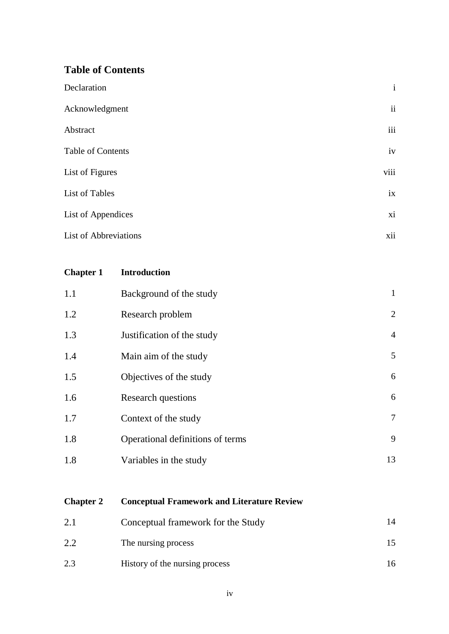#### **Table of Contents**

| Declaration                  | $\mathbf{i}$             |
|------------------------------|--------------------------|
| Acknowledgment               | $\overline{\textbf{ii}}$ |
| Abstract                     | iii                      |
| Table of Contents            | iv                       |
| List of Figures              | viii                     |
| List of Tables               | ix                       |
| <b>List of Appendices</b>    | xi                       |
| <b>List of Abbreviations</b> | xii                      |

#### **Chapter 1 Introduction**

| 1.1 | Background of the study          | $\mathbf{1}$   |
|-----|----------------------------------|----------------|
| 1.2 | Research problem                 | 2              |
| 1.3 | Justification of the study       | $\overline{4}$ |
| 1.4 | Main aim of the study            | 5              |
| 1.5 | Objectives of the study          | 6              |
| 1.6 | <b>Research questions</b>        | 6              |
| 1.7 | Context of the study             | $\tau$         |
| 1.8 | Operational definitions of terms | 9              |
| 1.8 | Variables in the study           | 13             |

# **Chapter 2 Conceptual Framework and Literature Review**

| 2.1 | Conceptual framework for the Study |    |
|-----|------------------------------------|----|
| 2.2 | The nursing process                |    |
| 2.3 | History of the nursing process     | 16 |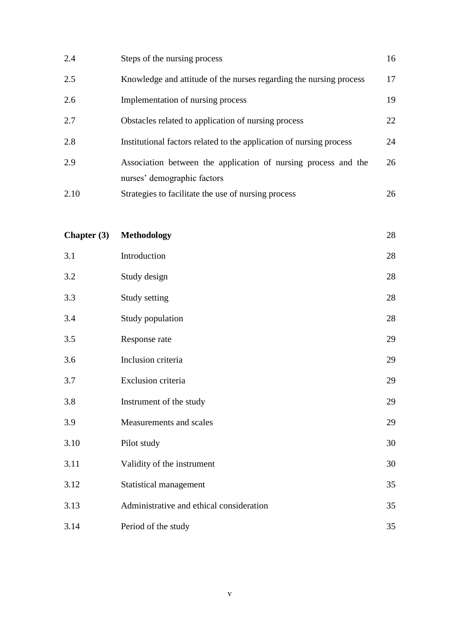| 2.4  | Steps of the nursing process                                        | 16 |
|------|---------------------------------------------------------------------|----|
| 2.5  | Knowledge and attitude of the nurses regarding the nursing process  | 17 |
| 2.6  | Implementation of nursing process                                   | 19 |
| 2.7  | Obstacles related to application of nursing process                 | 22 |
| 2.8  | Institutional factors related to the application of nursing process | 24 |
| 2.9  | Association between the application of nursing process and the      | 26 |
|      | nurses' demographic factors                                         |    |
| 2.10 | Strategies to facilitate the use of nursing process                 | 26 |

| Chapter $(3)$ | <b>Methodology</b>                       | $28\,$ |
|---------------|------------------------------------------|--------|
| 3.1           | Introduction                             | 28     |
| 3.2           | Study design                             | 28     |
| 3.3           | Study setting                            | 28     |
| 3.4           | Study population                         | 28     |
| 3.5           | Response rate                            | 29     |
| 3.6           | Inclusion criteria                       | 29     |
| 3.7           | Exclusion criteria                       | 29     |
| 3.8           | Instrument of the study                  | 29     |
| 3.9           | Measurements and scales                  | 29     |
| 3.10          | Pilot study                              | 30     |
| 3.11          | Validity of the instrument               | 30     |
| 3.12          | Statistical management                   | 35     |
| 3.13          | Administrative and ethical consideration | 35     |
| 3.14          | Period of the study                      | 35     |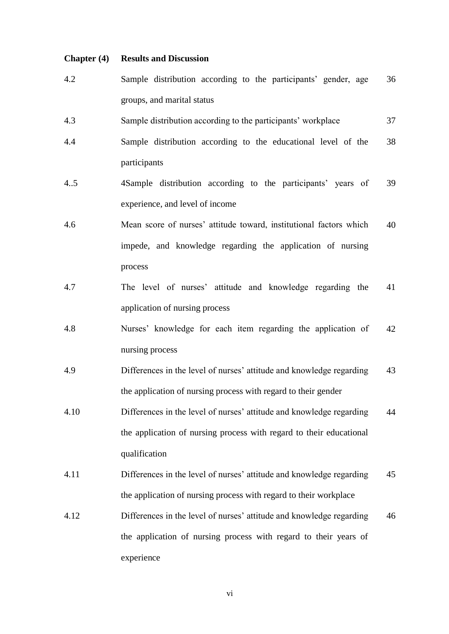#### **Chapter (4) Results and Discussion**

- 4.2 Sample distribution according to the participants' gender, age groups, and marital status 36
- 4.3 Sample distribution according to the participants' workplace 37
- 4.4 Sample distribution according to the educational level of the participants 38
- 4..5 4Sample distribution according to the participants' years of experience, and level of income 39
- 4.6 Mean score of nurses' attitude toward, institutional factors which impede, and knowledge regarding the application of nursing process 40
- 4.7 The level of nurses' attitude and knowledge regarding the application of nursing process 41
- 4.8 Nurses' knowledge for each item regarding the application of nursing process 42
- 4.9 Differences in the level of nurses' attitude and knowledge regarding the application of nursing process with regard to their gender 43
- 4.10 Differences in the level of nurses' attitude and knowledge regarding the application of nursing process with regard to their educational qualification 44
- 4.11 Differences in the level of nurses' attitude and knowledge regarding the application of nursing process with regard to their workplace 45
- 4.12 Differences in the level of nurses' attitude and knowledge regarding the application of nursing process with regard to their years of experience 46

vi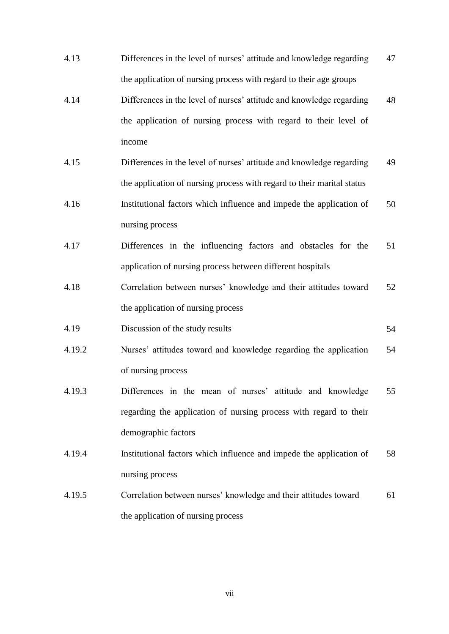4.13 Differences in the level of nurses' attitude and knowledge regarding the application of nursing process with regard to their age groups 47 4.14 Differences in the level of nurses' attitude and knowledge regarding the application of nursing process with regard to their level of income 48 4.15 Differences in the level of nurses' attitude and knowledge regarding the application of nursing process with regard to their marital status 49 4.16 Institutional factors which influence and impede the application of nursing process 50 4.17 Differences in the influencing factors and obstacles for the application of nursing process between different hospitals 51 4.18 Correlation between nurses' knowledge and their attitudes toward the application of nursing process 52 4.19 Discussion of the study results 54 4.19.2 Nurses' attitudes toward and knowledge regarding the application of nursing process 54 4.19.3 Differences in the mean of nurses' attitude and knowledge regarding the application of nursing process with regard to their demographic factors 55 4.19.4 Institutional factors which influence and impede the application of nursing process 58 4.19.5 Correlation between nurses' knowledge and their attitudes toward the application of nursing process 61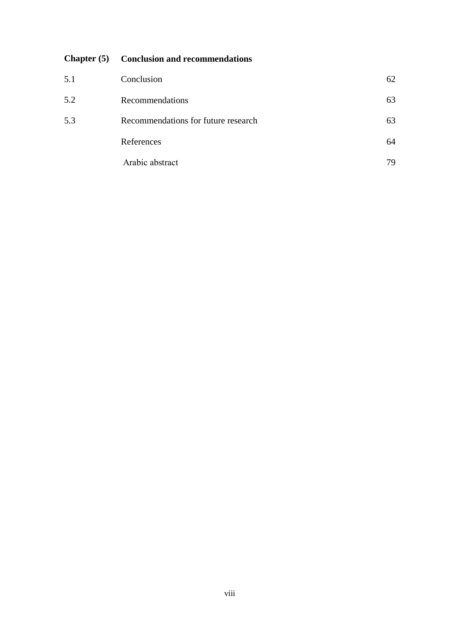### **Chapter (5) Conclusion and recommendations**

| 5.1 | Conclusion                          | 62 |
|-----|-------------------------------------|----|
| 5.2 | Recommendations                     | 63 |
| 5.3 | Recommendations for future research | 63 |
|     | References                          | 64 |
|     | Arabic abstract                     | 79 |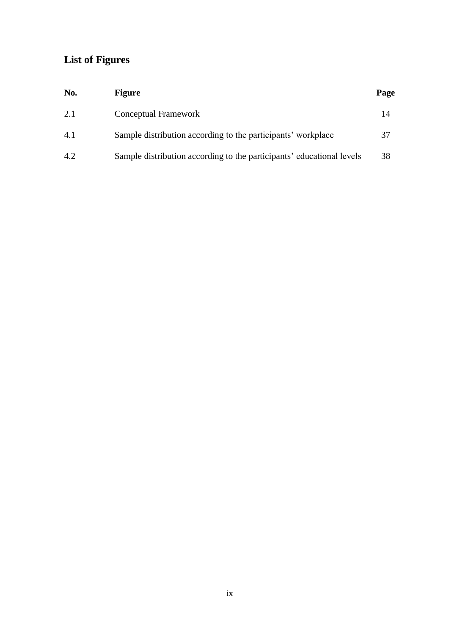# **List of Figures**

| No. | <b>Figure</b>                                                         | Page |
|-----|-----------------------------------------------------------------------|------|
| 2.1 | Conceptual Framework                                                  | 14   |
| 4.1 | Sample distribution according to the participants' workplace          | 37   |
| 4.2 | Sample distribution according to the participants' educational levels | 38   |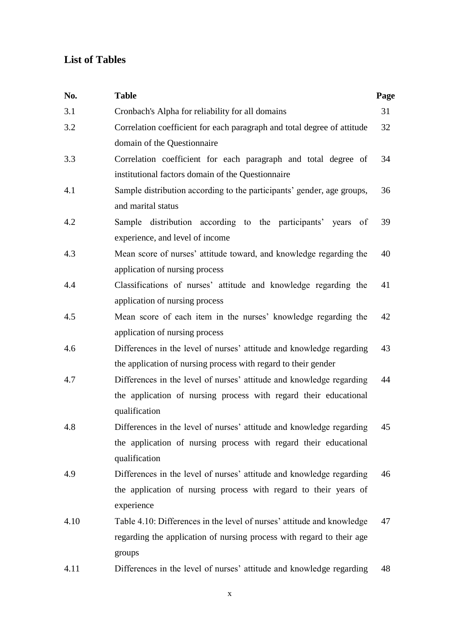## **List of Tables**

| No.  | <b>Table</b>                                                            | Page |
|------|-------------------------------------------------------------------------|------|
| 3.1  | Cronbach's Alpha for reliability for all domains                        | 31   |
| 3.2  | Correlation coefficient for each paragraph and total degree of attitude | 32   |
|      | domain of the Questionnaire                                             |      |
| 3.3  | Correlation coefficient for each paragraph and total degree of          | 34   |
|      | institutional factors domain of the Questionnaire                       |      |
| 4.1  | Sample distribution according to the participants' gender, age groups,  | 36   |
|      | and marital status                                                      |      |
| 4.2  | Sample distribution according to the participants' years of             | 39   |
|      | experience, and level of income                                         |      |
| 4.3  | Mean score of nurses' attitude toward, and knowledge regarding the      | 40   |
|      | application of nursing process                                          |      |
| 4.4  | Classifications of nurses' attitude and knowledge regarding the         | 41   |
|      | application of nursing process                                          |      |
| 4.5  | Mean score of each item in the nurses' knowledge regarding the          | 42   |
|      | application of nursing process                                          |      |
| 4.6  | Differences in the level of nurses' attitude and knowledge regarding    | 43   |
|      | the application of nursing process with regard to their gender          |      |
| 4.7  | Differences in the level of nurses' attitude and knowledge regarding    | 44   |
|      | the application of nursing process with regard their educational        |      |
|      | qualification                                                           |      |
| 4.8  | Differences in the level of nurses' attitude and knowledge regarding    | 45   |
|      | the application of nursing process with regard their educational        |      |
|      | qualification                                                           |      |
| 4.9  | Differences in the level of nurses' attitude and knowledge regarding    | 46   |
|      | the application of nursing process with regard to their years of        |      |
|      | experience                                                              |      |
| 4.10 | Table 4.10: Differences in the level of nurses' attitude and knowledge  | 47   |
|      | regarding the application of nursing process with regard to their age   |      |
|      | groups                                                                  |      |
| 4.11 | Differences in the level of nurses' attitude and knowledge regarding    | 48   |

x